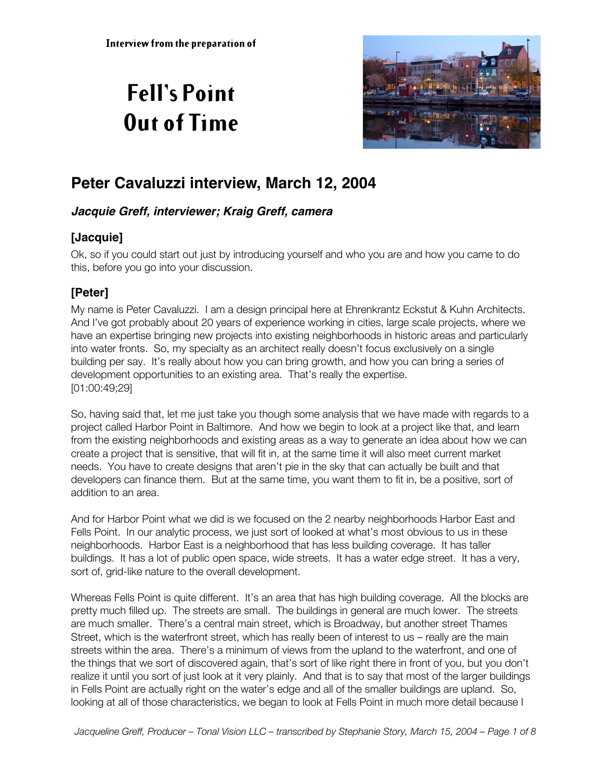# **Fell's Point Out of Time**



# **Peter Cavaluzzi interview, March 12, 2004**

#### **Jacquie Greff, interviewer; Kraig Greff, camera**

# **[Jacquie]**

Ok, so if you could start out just by introducing yourself and who you are and how you came to do this, before you go into your discussion.

# **[Peter]**

My name is Peter Cavaluzzi. I am a design principal here at Ehrenkrantz Eckstut & Kuhn Architects. And I've got probably about 20 years of experience working in cities, large scale projects, where we have an expertise bringing new projects into existing neighborhoods in historic areas and particularly into water fronts. So, my specialty as an architect really doesn't focus exclusively on a single building per say. It's really about how you can bring growth, and how you can bring a series of development opportunities to an existing area. That's really the expertise. [01:00:49;29]

So, having said that, let me just take you though some analysis that we have made with regards to a project called Harbor Point in Baltimore. And how we begin to look at a project like that, and learn from the existing neighborhoods and existing areas as a way to generate an idea about how we can create a project that is sensitive, that will fit in, at the same time it will also meet current market needs. You have to create designs that aren't pie in the sky that can actually be built and that developers can finance them. But at the same time, you want them to fit in, be a positive, sort of addition to an area.

And for Harbor Point what we did is we focused on the 2 nearby neighborhoods Harbor East and Fells Point. In our analytic process, we just sort of looked at what's most obvious to us in these neighborhoods. Harbor East is a neighborhood that has less building coverage. It has taller buildings. It has a lot of public open space, wide streets. It has a water edge street. It has a very, sort of, grid-like nature to the overall development.

Whereas Fells Point is quite different. It's an area that has high building coverage. All the blocks are pretty much filled up. The streets are small. The buildings in general are much lower. The streets are much smaller. There's a central main street, which is Broadway, but another street Thames Street, which is the waterfront street, which has really been of interest to us – really are the main streets within the area. There's a minimum of views from the upland to the waterfront, and one of the things that we sort of discovered again, that's sort of like right there in front of you, but you don't realize it until you sort of just look at it very plainly. And that is to say that most of the larger buildings in Fells Point are actually right on the water's edge and all of the smaller buildings are upland. So, looking at all of those characteristics, we began to look at Fells Point in much more detail because I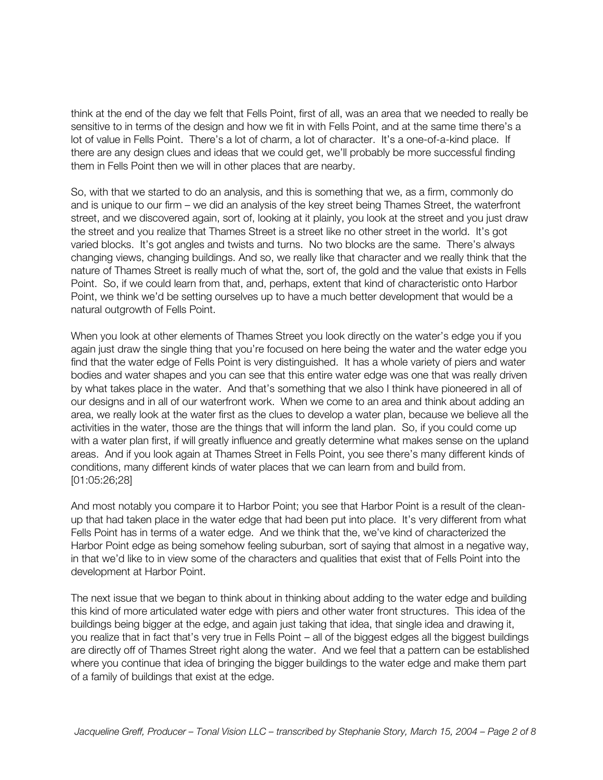think at the end of the day we felt that Fells Point, first of all, was an area that we needed to really be sensitive to in terms of the design and how we fit in with Fells Point, and at the same time there's a lot of value in Fells Point. There's a lot of charm, a lot of character. It's a one-of-a-kind place. If there are any design clues and ideas that we could get, we'll probably be more successful finding them in Fells Point then we will in other places that are nearby.

So, with that we started to do an analysis, and this is something that we, as a firm, commonly do and is unique to our firm – we did an analysis of the key street being Thames Street, the waterfront street, and we discovered again, sort of, looking at it plainly, you look at the street and you just draw the street and you realize that Thames Street is a street like no other street in the world. It's got varied blocks. It's got angles and twists and turns. No two blocks are the same. There's always changing views, changing buildings. And so, we really like that character and we really think that the nature of Thames Street is really much of what the, sort of, the gold and the value that exists in Fells Point. So, if we could learn from that, and, perhaps, extent that kind of characteristic onto Harbor Point, we think we'd be setting ourselves up to have a much better development that would be a natural outgrowth of Fells Point.

When you look at other elements of Thames Street you look directly on the water's edge you if you again just draw the single thing that you're focused on here being the water and the water edge you find that the water edge of Fells Point is very distinguished. It has a whole variety of piers and water bodies and water shapes and you can see that this entire water edge was one that was really driven by what takes place in the water. And that's something that we also I think have pioneered in all of our designs and in all of our waterfront work. When we come to an area and think about adding an area, we really look at the water first as the clues to develop a water plan, because we believe all the activities in the water, those are the things that will inform the land plan. So, if you could come up with a water plan first, if will greatly influence and greatly determine what makes sense on the upland areas. And if you look again at Thames Street in Fells Point, you see there's many different kinds of conditions, many different kinds of water places that we can learn from and build from. [01:05:26;28]

And most notably you compare it to Harbor Point; you see that Harbor Point is a result of the cleanup that had taken place in the water edge that had been put into place. It's very different from what Fells Point has in terms of a water edge. And we think that the, we've kind of characterized the Harbor Point edge as being somehow feeling suburban, sort of saying that almost in a negative way, in that we'd like to in view some of the characters and qualities that exist that of Fells Point into the development at Harbor Point.

The next issue that we began to think about in thinking about adding to the water edge and building this kind of more articulated water edge with piers and other water front structures. This idea of the buildings being bigger at the edge, and again just taking that idea, that single idea and drawing it, you realize that in fact that's very true in Fells Point – all of the biggest edges all the biggest buildings are directly off of Thames Street right along the water. And we feel that a pattern can be established where you continue that idea of bringing the bigger buildings to the water edge and make them part of a family of buildings that exist at the edge.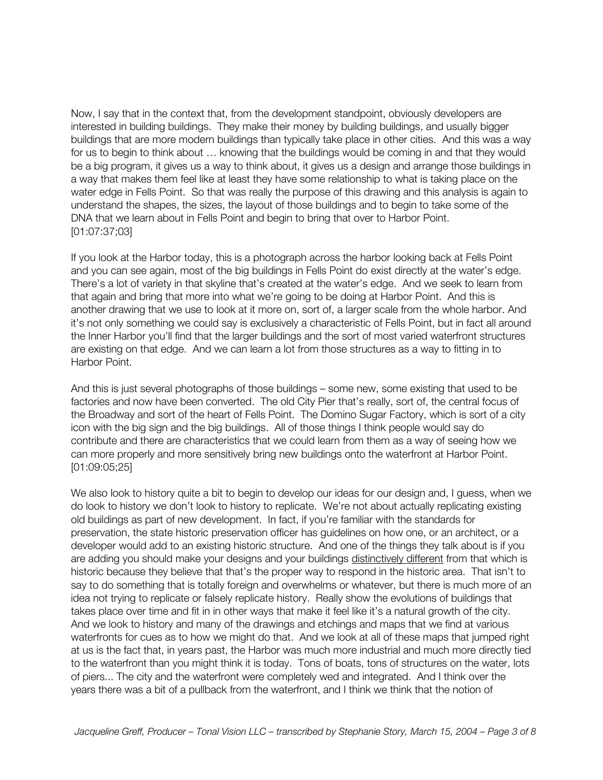Now, I say that in the context that, from the development standpoint, obviously developers are interested in building buildings. They make their money by building buildings, and usually bigger buildings that are more modern buildings than typically take place in other cities. And this was a way for us to begin to think about … knowing that the buildings would be coming in and that they would be a big program, it gives us a way to think about, it gives us a design and arrange those buildings in a way that makes them feel like at least they have some relationship to what is taking place on the water edge in Fells Point. So that was really the purpose of this drawing and this analysis is again to understand the shapes, the sizes, the layout of those buildings and to begin to take some of the DNA that we learn about in Fells Point and begin to bring that over to Harbor Point. [01:07:37;03]

If you look at the Harbor today, this is a photograph across the harbor looking back at Fells Point and you can see again, most of the big buildings in Fells Point do exist directly at the water's edge. There's a lot of variety in that skyline that's created at the water's edge. And we seek to learn from that again and bring that more into what we're going to be doing at Harbor Point. And this is another drawing that we use to look at it more on, sort of, a larger scale from the whole harbor. And it's not only something we could say is exclusively a characteristic of Fells Point, but in fact all around the Inner Harbor you'll find that the larger buildings and the sort of most varied waterfront structures are existing on that edge. And we can learn a lot from those structures as a way to fitting in to Harbor Point.

And this is just several photographs of those buildings – some new, some existing that used to be factories and now have been converted. The old City Pier that's really, sort of, the central focus of the Broadway and sort of the heart of Fells Point. The Domino Sugar Factory, which is sort of a city icon with the big sign and the big buildings. All of those things I think people would say do contribute and there are characteristics that we could learn from them as a way of seeing how we can more properly and more sensitively bring new buildings onto the waterfront at Harbor Point. [01:09:05;25]

We also look to history quite a bit to begin to develop our ideas for our design and, I guess, when we do look to history we don't look to history to replicate. We're not about actually replicating existing old buildings as part of new development. In fact, if you're familiar with the standards for preservation, the state historic preservation officer has guidelines on how one, or an architect, or a developer would add to an existing historic structure. And one of the things they talk about is if you are adding you should make your designs and your buildings distinctively different from that which is historic because they believe that that's the proper way to respond in the historic area. That isn't to say to do something that is totally foreign and overwhelms or whatever, but there is much more of an idea not trying to replicate or falsely replicate history. Really show the evolutions of buildings that takes place over time and fit in in other ways that make it feel like it's a natural growth of the city. And we look to history and many of the drawings and etchings and maps that we find at various waterfronts for cues as to how we might do that. And we look at all of these maps that jumped right at us is the fact that, in years past, the Harbor was much more industrial and much more directly tied to the waterfront than you might think it is today. Tons of boats, tons of structures on the water, lots of piers... The city and the waterfront were completely wed and integrated. And I think over the years there was a bit of a pullback from the waterfront, and I think we think that the notion of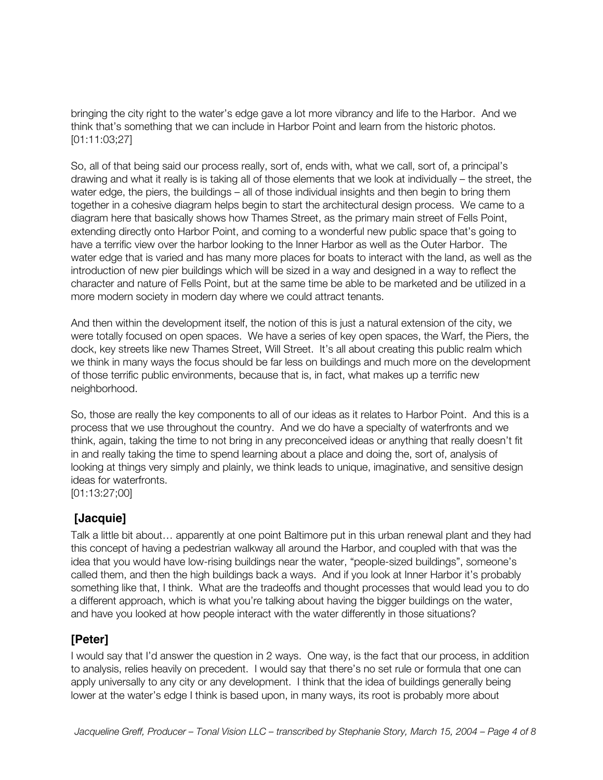bringing the city right to the water's edge gave a lot more vibrancy and life to the Harbor. And we think that's something that we can include in Harbor Point and learn from the historic photos. [01:11:03;27]

So, all of that being said our process really, sort of, ends with, what we call, sort of, a principal's drawing and what it really is is taking all of those elements that we look at individually – the street, the water edge, the piers, the buildings – all of those individual insights and then begin to bring them together in a cohesive diagram helps begin to start the architectural design process. We came to a diagram here that basically shows how Thames Street, as the primary main street of Fells Point, extending directly onto Harbor Point, and coming to a wonderful new public space that's going to have a terrific view over the harbor looking to the Inner Harbor as well as the Outer Harbor. The water edge that is varied and has many more places for boats to interact with the land, as well as the introduction of new pier buildings which will be sized in a way and designed in a way to reflect the character and nature of Fells Point, but at the same time be able to be marketed and be utilized in a more modern society in modern day where we could attract tenants.

And then within the development itself, the notion of this is just a natural extension of the city, we were totally focused on open spaces. We have a series of key open spaces, the Warf, the Piers, the dock, key streets like new Thames Street, Will Street. It's all about creating this public realm which we think in many ways the focus should be far less on buildings and much more on the development of those terrific public environments, because that is, in fact, what makes up a terrific new neighborhood.

So, those are really the key components to all of our ideas as it relates to Harbor Point. And this is a process that we use throughout the country. And we do have a specialty of waterfronts and we think, again, taking the time to not bring in any preconceived ideas or anything that really doesn't fit in and really taking the time to spend learning about a place and doing the, sort of, analysis of looking at things very simply and plainly, we think leads to unique, imaginative, and sensitive design ideas for waterfronts.

[01:13:27;00]

#### **[Jacquie]**

Talk a little bit about… apparently at one point Baltimore put in this urban renewal plant and they had this concept of having a pedestrian walkway all around the Harbor, and coupled with that was the idea that you would have low-rising buildings near the water, "people-sized buildings", someone's called them, and then the high buildings back a ways. And if you look at Inner Harbor it's probably something like that, I think. What are the tradeoffs and thought processes that would lead you to do a different approach, which is what you're talking about having the bigger buildings on the water, and have you looked at how people interact with the water differently in those situations?

#### **[Peter]**

I would say that I'd answer the question in 2 ways. One way, is the fact that our process, in addition to analysis, relies heavily on precedent. I would say that there's no set rule or formula that one can apply universally to any city or any development. I think that the idea of buildings generally being lower at the water's edge I think is based upon, in many ways, its root is probably more about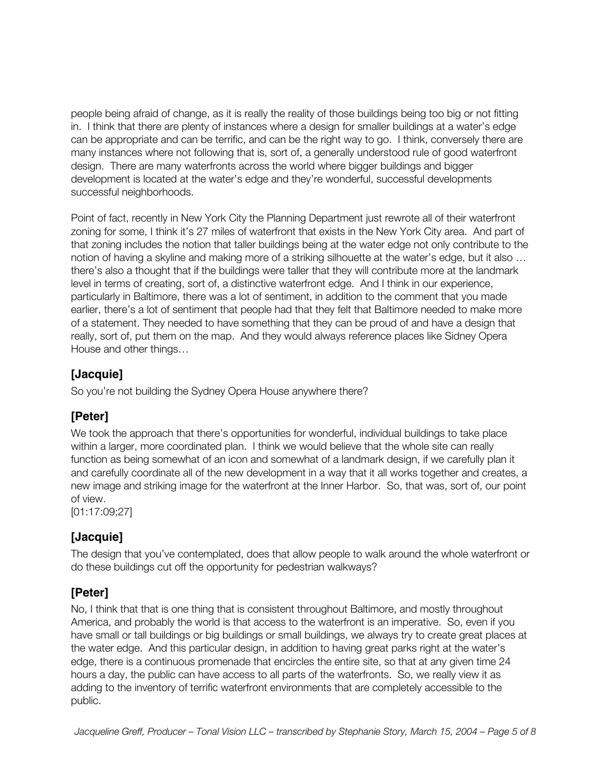people being afraid of change, as it is really the reality of those buildings being too big or not fitting in. I think that there are plenty of instances where a design for smaller buildings at a water's edge can be appropriate and can be terrific, and can be the right way to go. I think, conversely there are many instances where not following that is, sort of, a generally understood rule of good waterfront design. There are many waterfronts across the world where bigger buildings and bigger development is located at the water's edge and they're wonderful, successful developments successful neighborhoods.

Point of fact, recently in New York City the Planning Department just rewrote all of their waterfront zoning for some, I think it's 27 miles of waterfront that exists in the New York City area. And part of that zoning includes the notion that taller buildings being at the water edge not only contribute to the notion of having a skyline and making more of a striking silhouette at the water's edge, but it also … there's also a thought that if the buildings were taller that they will contribute more at the landmark level in terms of creating, sort of, a distinctive waterfront edge. And I think in our experience, particularly in Baltimore, there was a lot of sentiment, in addition to the comment that you made earlier, there's a lot of sentiment that people had that they felt that Baltimore needed to make more of a statement. They needed to have something that they can be proud of and have a design that really, sort of, put them on the map. And they would always reference places like Sidney Opera House and other things…

#### **[Jacquie]**

So you're not building the Sydney Opera House anywhere there?

#### **[Peter]**

We took the approach that there's opportunities for wonderful, individual buildings to take place within a larger, more coordinated plan. I think we would believe that the whole site can really function as being somewhat of an icon and somewhat of a landmark design, if we carefully plan it and carefully coordinate all of the new development in a way that it all works together and creates, a new image and striking image for the waterfront at the Inner Harbor. So, that was, sort of, our point of view.

[01:17:09;27]

#### **[Jacquie]**

The design that you've contemplated, does that allow people to walk around the whole waterfront or do these buildings cut off the opportunity for pedestrian walkways?

# **[Peter]**

No, I think that that is one thing that is consistent throughout Baltimore, and mostly throughout America, and probably the world is that access to the waterfront is an imperative. So, even if you have small or tall buildings or big buildings or small buildings, we always try to create great places at the water edge. And this particular design, in addition to having great parks right at the water's edge, there is a continuous promenade that encircles the entire site, so that at any given time 24 hours a day, the public can have access to all parts of the waterfronts. So, we really view it as adding to the inventory of terrific waterfront environments that are completely accessible to the public.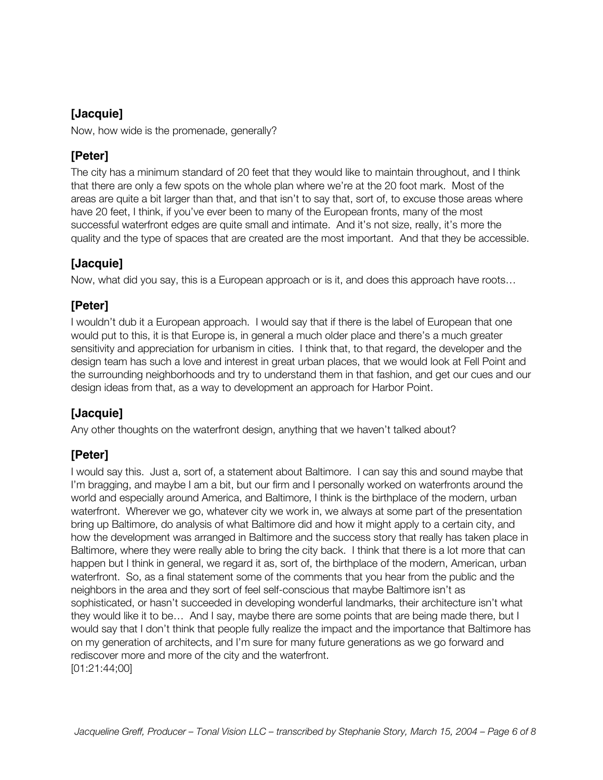#### **[Jacquie]**

Now, how wide is the promenade, generally?

### **[Peter]**

The city has a minimum standard of 20 feet that they would like to maintain throughout, and I think that there are only a few spots on the whole plan where we're at the 20 foot mark. Most of the areas are quite a bit larger than that, and that isn't to say that, sort of, to excuse those areas where have 20 feet, I think, if you've ever been to many of the European fronts, many of the most successful waterfront edges are quite small and intimate. And it's not size, really, it's more the quality and the type of spaces that are created are the most important. And that they be accessible.

# **[Jacquie]**

Now, what did you say, this is a European approach or is it, and does this approach have roots…

# **[Peter]**

I wouldn't dub it a European approach. I would say that if there is the label of European that one would put to this, it is that Europe is, in general a much older place and there's a much greater sensitivity and appreciation for urbanism in cities. I think that, to that regard, the developer and the design team has such a love and interest in great urban places, that we would look at Fell Point and the surrounding neighborhoods and try to understand them in that fashion, and get our cues and our design ideas from that, as a way to development an approach for Harbor Point.

# **[Jacquie]**

Any other thoughts on the waterfront design, anything that we haven't talked about?

# **[Peter]**

I would say this. Just a, sort of, a statement about Baltimore. I can say this and sound maybe that I'm bragging, and maybe I am a bit, but our firm and I personally worked on waterfronts around the world and especially around America, and Baltimore, I think is the birthplace of the modern, urban waterfront. Wherever we go, whatever city we work in, we always at some part of the presentation bring up Baltimore, do analysis of what Baltimore did and how it might apply to a certain city, and how the development was arranged in Baltimore and the success story that really has taken place in Baltimore, where they were really able to bring the city back. I think that there is a lot more that can happen but I think in general, we regard it as, sort of, the birthplace of the modern, American, urban waterfront. So, as a final statement some of the comments that you hear from the public and the neighbors in the area and they sort of feel self-conscious that maybe Baltimore isn't as sophisticated, or hasn't succeeded in developing wonderful landmarks, their architecture isn't what they would like it to be… And I say, maybe there are some points that are being made there, but I would say that I don't think that people fully realize the impact and the importance that Baltimore has on my generation of architects, and I'm sure for many future generations as we go forward and rediscover more and more of the city and the waterfront. [01:21:44;00]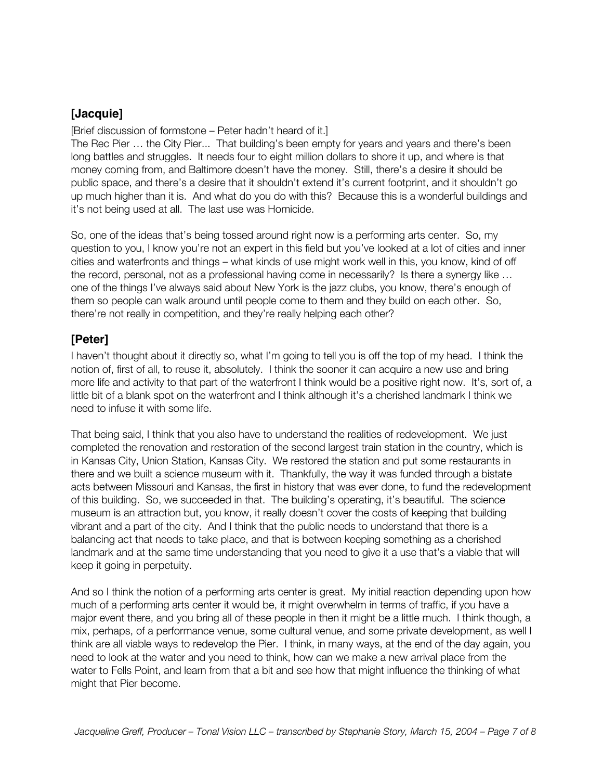#### **[Jacquie]**

[Brief discussion of formstone – Peter hadn't heard of it.]

The Rec Pier … the City Pier... That building's been empty for years and years and there's been long battles and struggles. It needs four to eight million dollars to shore it up, and where is that money coming from, and Baltimore doesn't have the money. Still, there's a desire it should be public space, and there's a desire that it shouldn't extend it's current footprint, and it shouldn't go up much higher than it is. And what do you do with this? Because this is a wonderful buildings and it's not being used at all. The last use was Homicide.

So, one of the ideas that's being tossed around right now is a performing arts center. So, my question to you, I know you're not an expert in this field but you've looked at a lot of cities and inner cities and waterfronts and things – what kinds of use might work well in this, you know, kind of off the record, personal, not as a professional having come in necessarily? Is there a synergy like … one of the things I've always said about New York is the jazz clubs, you know, there's enough of them so people can walk around until people come to them and they build on each other. So, there're not really in competition, and they're really helping each other?

#### **[Peter]**

I haven't thought about it directly so, what I'm going to tell you is off the top of my head. I think the notion of, first of all, to reuse it, absolutely. I think the sooner it can acquire a new use and bring more life and activity to that part of the waterfront I think would be a positive right now. It's, sort of, a little bit of a blank spot on the waterfront and I think although it's a cherished landmark I think we need to infuse it with some life.

That being said, I think that you also have to understand the realities of redevelopment. We just completed the renovation and restoration of the second largest train station in the country, which is in Kansas City, Union Station, Kansas City. We restored the station and put some restaurants in there and we built a science museum with it. Thankfully, the way it was funded through a bistate acts between Missouri and Kansas, the first in history that was ever done, to fund the redevelopment of this building. So, we succeeded in that. The building's operating, it's beautiful. The science museum is an attraction but, you know, it really doesn't cover the costs of keeping that building vibrant and a part of the city. And I think that the public needs to understand that there is a balancing act that needs to take place, and that is between keeping something as a cherished landmark and at the same time understanding that you need to give it a use that's a viable that will keep it going in perpetuity.

And so I think the notion of a performing arts center is great. My initial reaction depending upon how much of a performing arts center it would be, it might overwhelm in terms of traffic, if you have a major event there, and you bring all of these people in then it might be a little much. I think though, a mix, perhaps, of a performance venue, some cultural venue, and some private development, as well I think are all viable ways to redevelop the Pier. I think, in many ways, at the end of the day again, you need to look at the water and you need to think, how can we make a new arrival place from the water to Fells Point, and learn from that a bit and see how that might influence the thinking of what might that Pier become.